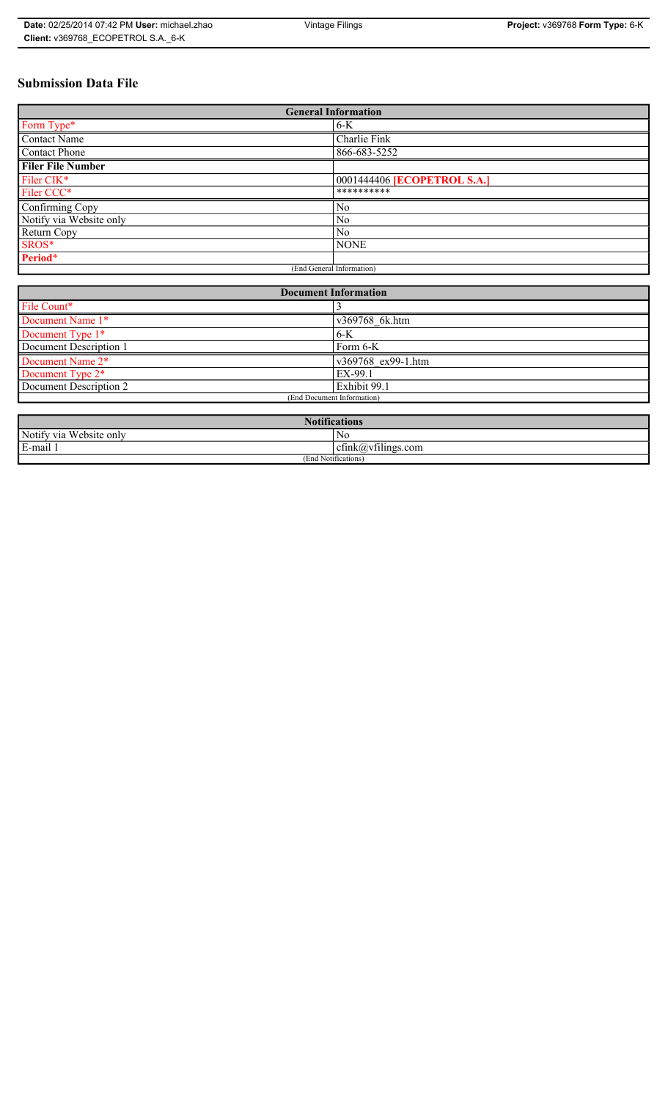## **Submission Data File**

| <b>General Information</b> |                                    |
|----------------------------|------------------------------------|
| Form Type*                 | $6-K$                              |
| <b>Contact Name</b>        | Charlie Fink                       |
| Contact Phone              | 866-683-5252                       |
| <b>Filer File Number</b>   |                                    |
| Filer CIK*                 | 0001444406 <b>[ECOPETROL S.A.]</b> |
| Filer CCC*                 | **********                         |
| Confirming Copy            | No                                 |
| Notify via Website only    | N <sub>0</sub>                     |
| Return Copy                | N <sub>0</sub>                     |
| SROS*                      | <b>NONE</b>                        |
| Period*                    |                                    |
| (End General Information)  |                                    |

| <b>Document Information</b>  |                            |
|------------------------------|----------------------------|
| File Count*                  |                            |
| Document Name 1*             | v369768 6k.htm             |
| Document Type 1*             | $6-K$                      |
| Document Description 1       | Form 6-K                   |
| Document Name 2 <sup>*</sup> | $\sqrt{369768}$ ex99-1.htm |
| Document Type 2*             | EX-99.1                    |
| Document Description 2       | Exhibit 99.1               |
| (End Document Information)   |                            |
|                              |                            |

| <b>Notifications</b>    |                                              |  |
|-------------------------|----------------------------------------------|--|
| Notify via Website only | N <sub>0</sub>                               |  |
| E-mail 1                | $\sim$ $\sim$<br>$c$ tink $(a)$ ytilings.com |  |
| (End Notifications)     |                                              |  |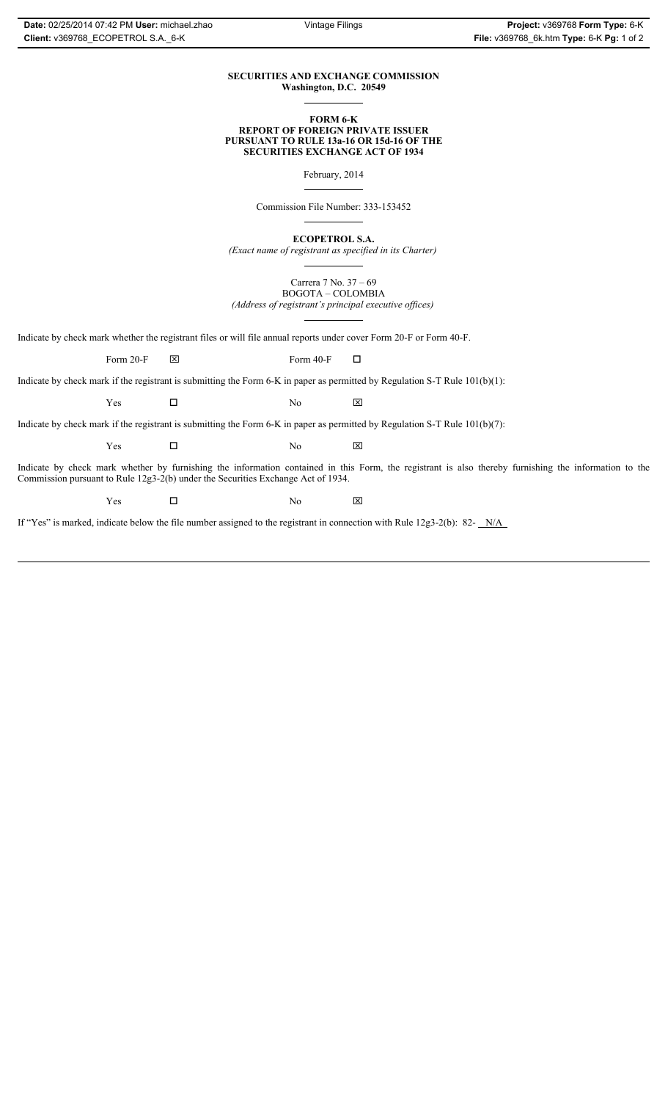## **SECURITIES AND EXCHANGE COMMISSION Washington, D.C. 20549**

### **FORM 6-K REPORT OF FOREIGN PRIVATE ISSUER PURSUANT TO RULE 13a-16 OR 15d-16 OF THE SECURITIES EXCHANGE ACT OF 1934**

February, 2014

Commission File Number: 333-153452

**ECOPETROL S.A.**

*(Exact name of registrant as specified in its Charter)*

Carrera 7 No. 37 – 69 BOGOTA – COLOMBIA *(Address of registrant's principal executive offices)*

Indicate by check mark whether the registrant files or will file annual reports under cover Form 20-F or Form 40-F.

Form 20-F  $\boxtimes$  Form 40-F  $\Box$ 

Indicate by check mark if the registrant is submitting the Form 6-K in paper as permitted by Regulation S-T Rule 101(b)(1):

 $Yes$   $\Box$  No  $X$ 

Indicate by check mark if the registrant is submitting the Form 6-K in paper as permitted by Regulation S-T Rule 101(b)(7):

 $Yes$   $\Box$  No  $X$ 

Indicate by check mark whether by furnishing the information contained in this Form, the registrant is also thereby furnishing the information to the Commission pursuant to Rule 12g3-2(b) under the Securities Exchange Act of 1934.

 $Yes$   $\Box$  No  $X$ 

If "Yes" is marked, indicate below the file number assigned to the registrant in connection with Rule 12g3-2(b): 82- N/A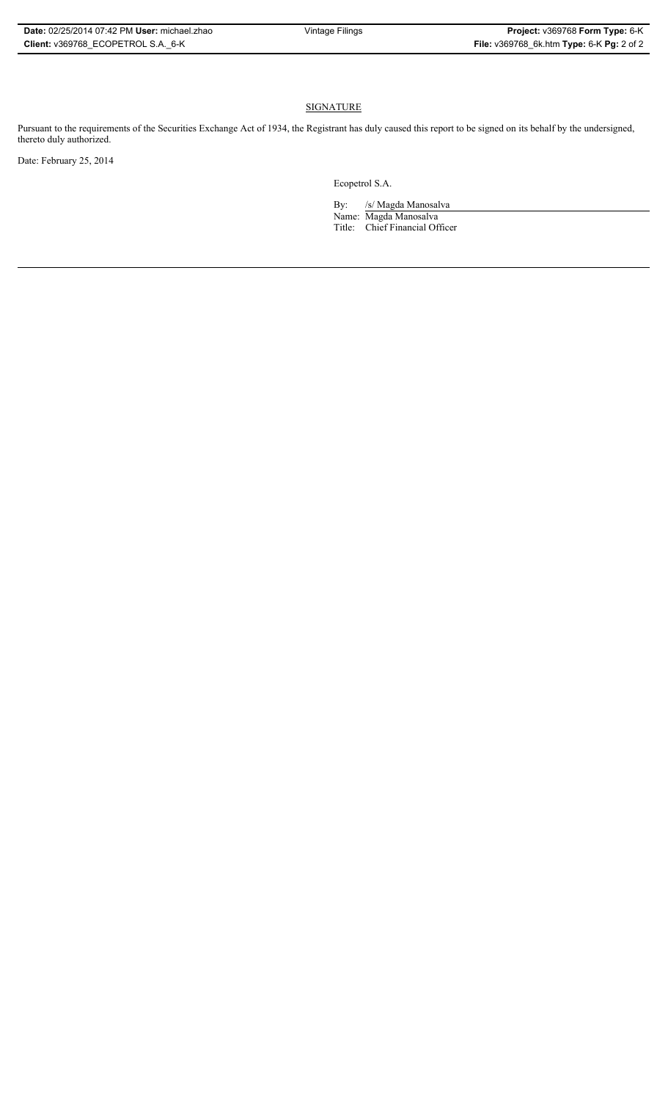## **SIGNATURE**

Pursuant to the requirements of the Securities Exchange Act of 1934, the Registrant has duly caused this report to be signed on its behalf by the undersigned, thereto duly authorized.

Date: February 25, 2014

Ecopetrol S.A.

By: /s/ Magda Manosalva Name: Magda Manosalva Title: Chief Financial Officer